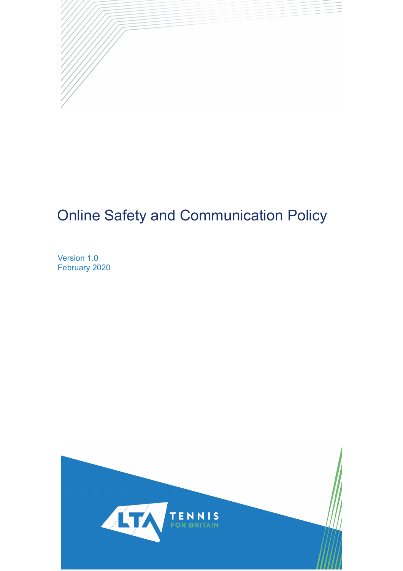

# Online Safety and Communication Policy

Version 1.0 February 2020

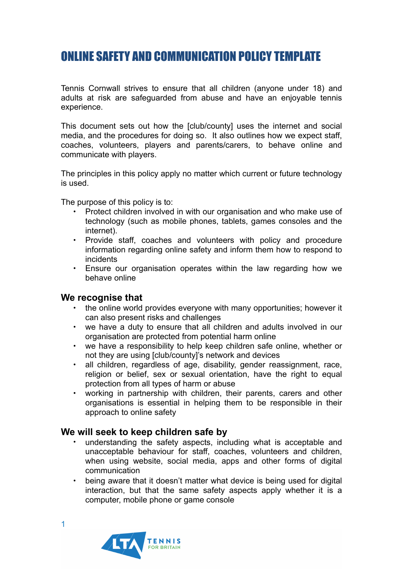# ONLINE SAFETY AND COMMUNICATION POLICY TEMPLATE

Tennis Cornwall strives to ensure that all children (anyone under 18) and adults at risk are safeguarded from abuse and have an enjoyable tennis experience.

This document sets out how the [club/county] uses the internet and social media, and the procedures for doing so. It also outlines how we expect staff, coaches, volunteers, players and parents/carers, to behave online and communicate with players.

The principles in this policy apply no matter which current or future technology is used.

The purpose of this policy is to:

- Protect children involved in with our organisation and who make use of technology (such as mobile phones, tablets, games consoles and the internet).
- Provide staff, coaches and volunteers with policy and procedure information regarding online safety and inform them how to respond to incidents
- Ensure our organisation operates within the law regarding how we behave online

#### **We recognise that**

- the online world provides everyone with many opportunities; however it can also present risks and challenges
- we have a duty to ensure that all children and adults involved in our organisation are protected from potential harm online
- we have a responsibility to help keep children safe online, whether or not they are using [club/county]'s network and devices
- all children, regardless of age, disability, gender reassignment, race, religion or belief, sex or sexual orientation, have the right to equal protection from all types of harm or abuse
- working in partnership with children, their parents, carers and other organisations is essential in helping them to be responsible in their approach to online safety

#### **We will seek to keep children safe by**

- understanding the safety aspects, including what is acceptable and unacceptable behaviour for staff, coaches, volunteers and children, when using website, social media, apps and other forms of digital communication
- being aware that it doesn't matter what device is being used for digital interaction, but that the same safety aspects apply whether it is a computer, mobile phone or game console

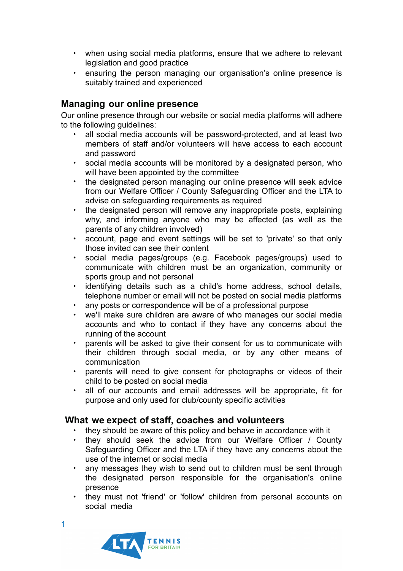- when using social media platforms, ensure that we adhere to relevant legislation and good practice
- ensuring the person managing our organisation's online presence is suitably trained and experienced

# **Managing our online presence**

Our online presence through our website or social media platforms will adhere to the following guidelines:

- all social media accounts will be password-protected, and at least two members of staff and/or volunteers will have access to each account and password
- social media accounts will be monitored by a designated person, who will have been appointed by the committee
- the designated person managing our online presence will seek advice from our Welfare Officer / County Safeguarding Officer and the LTA to advise on safeguarding requirements as required
- the designated person will remove any inappropriate posts, explaining why, and informing anyone who may be affected (as well as the parents of any children involved)
- account, page and event settings will be set to 'private' so that only those invited can see their content
- social media pages/groups (e.g. Facebook pages/groups) used to communicate with children must be an organization, community or sports group and not personal
- identifying details such as a child's home address, school details, telephone number or email will not be posted on social media platforms
- any posts or correspondence will be of a professional purpose
- we'll make sure children are aware of who manages our social media accounts and who to contact if they have any concerns about the running of the account
- parents will be asked to give their consent for us to communicate with their children through social media, or by any other means of communication
- parents will need to give consent for photographs or videos of their child to be posted on social media
- all of our accounts and email addresses will be appropriate, fit for purpose and only used for club/county specific activities

## **What we expect of staff, coaches and volunteers**

- they should be aware of this policy and behave in accordance with it
- they should seek the advice from our Welfare Officer / County Safeguarding Officer and the LTA if they have any concerns about the use of the internet or social media
- any messages they wish to send out to children must be sent through the designated person responsible for the organisation's online presence
- they must not 'friend' or 'follow' children from personal accounts on social media

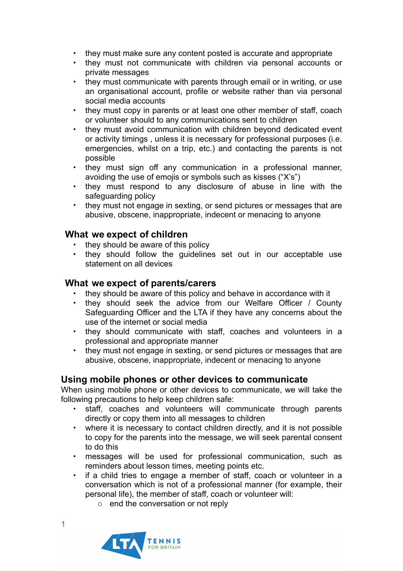- they must make sure any content posted is accurate and appropriate
- they must not communicate with children via personal accounts or private messages
- they must communicate with parents through email or in writing, or use an organisational account, profile or website rather than via personal social media accounts
- they must copy in parents or at least one other member of staff, coach or volunteer should to any communications sent to children
- they must avoid communication with children beyond dedicated event or activity timings , unless it is necessary for professional purposes (i.e. emergencies, whilst on a trip, etc.) and contacting the parents is not possible
- they must sign off any communication in a professional manner, avoiding the use of emojis or symbols such as kisses ("X's")
- they must respond to any disclosure of abuse in line with the safeguarding policy
- they must not engage in sexting, or send pictures or messages that are abusive, obscene, inappropriate, indecent or menacing to anyone

# **What we expect of children**

- they should be aware of this policy
- they should follow the guidelines set out in our acceptable use statement on all devices

#### **What we expect of parents/carers**

- they should be aware of this policy and behave in accordance with it
- they should seek the advice from our Welfare Officer / County Safeguarding Officer and the LTA if they have any concerns about the use of the internet or social media
- they should communicate with staff, coaches and volunteers in a professional and appropriate manner
- they must not engage in sexting, or send pictures or messages that are abusive, obscene, inappropriate, indecent or menacing to anyone

## **Using mobile phones or other devices to communicate**

When using mobile phone or other devices to communicate, we will take the following precautions to help keep children safe:

- staff, coaches and volunteers will communicate through parents directly or copy them into all messages to children
- where it is necessary to contact children directly, and it is not possible to copy for the parents into the message, we will seek parental consent to do this
- messages will be used for professional communication, such as reminders about lesson times, meeting points etc.
- if a child tries to engage a member of staff, coach or volunteer in a conversation which is not of a professional manner (for example, their personal life), the member of staff, coach or volunteer will:
	- o end the conversation or not reply